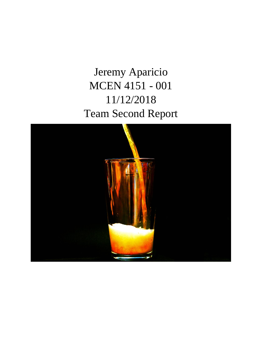Jeremy Aparicio MCEN 4151 - 001 11/12/2018 Team Second Report

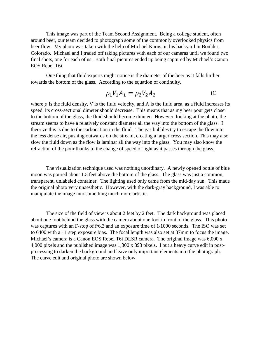This image was part of the Team Second Assignment. Being a college student, often around beer, our team decided to photograph some of the commonly overlooked physics from beer flow. My photo was taken with the help of Michael Karns, in his backyard in Boulder, Colorado. Michael and I traded off taking pictures with each of our cameras until we found two final shots, one for each of us. Both final pictures ended up being captured by Michael's Canon EOS Rebel T6i.

One thing that fluid experts might notice is the diameter of the beer as it falls further towards the bottom of the glass. According to the equation of continuity,

$$
\rho_1 V_1 A_1 = \rho_2 V_2 A_2 \tag{1}
$$

where  $\rho$  is the fluid density, V is the fluid velocity, and A is the fluid area, as a fluid increases its speed, its cross-sectional dimeter should decrease. This means that as my beer pour gets closer to the bottom of the glass, the fluid should become thinner. However, looking at the photo, the stream seems to have a relatively constant diameter all the way into the bottom of the glass. I theorize this is due to the carbonation in the fluid. The gas bubbles try to escape the flow into the less dense air, pushing outwards on the stream, creating a larger cross section. This may also slow the fluid down as the flow is laminar all the way into the glass. You may also know the refraction of the pour thanks to the change of speed of light as it passes through the glass.

The visualization technique used was nothing unordinary. A newly opened bottle of blue moon was poured about 1.5 feet above the bottom of the glass. The glass was just a common, transparent, unlabeled container. The lighting used only came from the mid-day sun. This made the original photo very unaesthetic. However, with the dark-gray background, I was able to manipulate the image into something much more artistic.

The size of the field of view is about 2 feet by 2 feet. The dark background was placed about one foot behind the glass with the camera about one foot in front of the glass. This photo was captures with an F-stop of f/6.3 and an exposure time of 1/1000 seconds. The ISO was set to 6400 with a +1 step exposure bias. The focal length was also set at 37mm to focus the image. Michael's camera is a Canon EOS Rebel T6i DLSR camera. The original image was 6,000 x 4,000 pixels and the published image was 1,300 x 893 pixels. I put a heavy curve edit in postprocessing to darken the background and leave only important elements into the photograph. The curve edit and original photo are shown below.